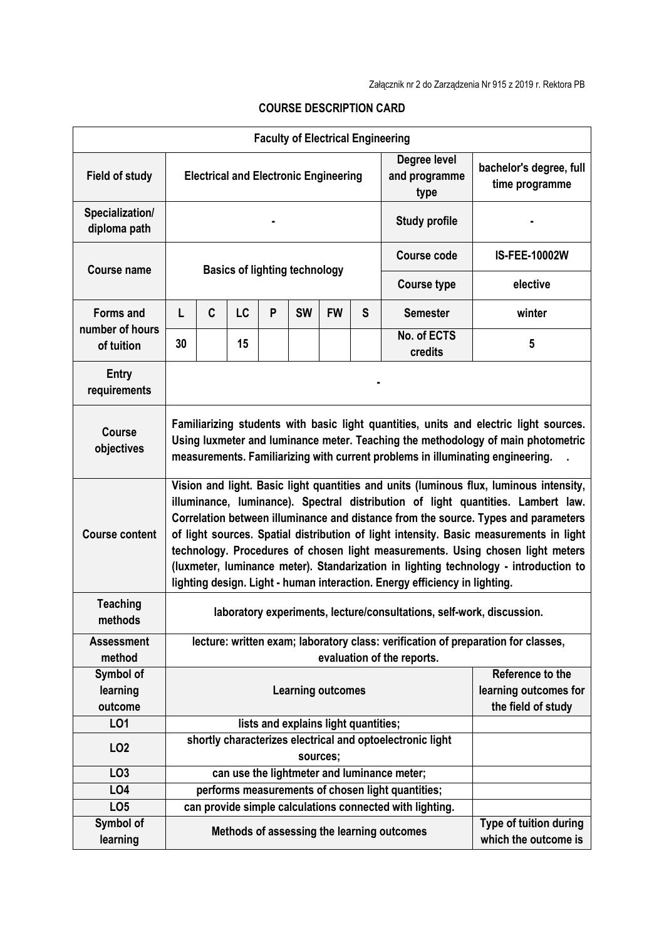| <b>Faculty of Electrical Engineering</b>          |                                                                                                                                                                                                                                                                                                                                                                                                                                                                                                                                                                                                                    |   |    |   |           |                    |                  |                                                          |                                                |
|---------------------------------------------------|--------------------------------------------------------------------------------------------------------------------------------------------------------------------------------------------------------------------------------------------------------------------------------------------------------------------------------------------------------------------------------------------------------------------------------------------------------------------------------------------------------------------------------------------------------------------------------------------------------------------|---|----|---|-----------|--------------------|------------------|----------------------------------------------------------|------------------------------------------------|
| <b>Field of study</b>                             | <b>Electrical and Electronic Engineering</b>                                                                                                                                                                                                                                                                                                                                                                                                                                                                                                                                                                       |   |    |   |           |                    |                  | Degree level<br>and programme<br>type                    | bachelor's degree, full<br>time programme      |
| Specialization/<br>diploma path                   |                                                                                                                                                                                                                                                                                                                                                                                                                                                                                                                                                                                                                    |   |    |   |           |                    |                  | <b>Study profile</b>                                     |                                                |
| Course name                                       | <b>Basics of lighting technology</b>                                                                                                                                                                                                                                                                                                                                                                                                                                                                                                                                                                               |   |    |   |           |                    |                  | <b>Course code</b>                                       | <b>IS-FEE-10002W</b>                           |
|                                                   |                                                                                                                                                                                                                                                                                                                                                                                                                                                                                                                                                                                                                    |   |    |   |           |                    |                  | <b>Course type</b>                                       | elective                                       |
| <b>Forms and</b><br>number of hours<br>of tuition | L                                                                                                                                                                                                                                                                                                                                                                                                                                                                                                                                                                                                                  | C | LC | P | <b>SW</b> | <b>FW</b>          | S                | <b>Semester</b>                                          | winter                                         |
|                                                   | 30                                                                                                                                                                                                                                                                                                                                                                                                                                                                                                                                                                                                                 |   | 15 |   |           |                    |                  | No. of ECTS<br>credits                                   | 5                                              |
| <b>Entry</b><br>requirements                      |                                                                                                                                                                                                                                                                                                                                                                                                                                                                                                                                                                                                                    |   |    |   |           |                    |                  |                                                          |                                                |
| <b>Course</b><br>objectives                       | Familiarizing students with basic light quantities, units and electric light sources.<br>Using luxmeter and luminance meter. Teaching the methodology of main photometric<br>measurements. Familiarizing with current problems in illuminating engineering.                                                                                                                                                                                                                                                                                                                                                        |   |    |   |           |                    |                  |                                                          |                                                |
| <b>Course content</b>                             | Vision and light. Basic light quantities and units (luminous flux, luminous intensity,<br>illuminance, luminance). Spectral distribution of light quantities. Lambert law.<br>Correlation between illuminance and distance from the source. Types and parameters<br>of light sources. Spatial distribution of light intensity. Basic measurements in light<br>technology. Procedures of chosen light measurements. Using chosen light meters<br>(luxmeter, luminance meter). Standarization in lighting technology - introduction to<br>lighting design. Light - human interaction. Energy efficiency in lighting. |   |    |   |           |                    |                  |                                                          |                                                |
| <b>Teaching</b><br>methods                        | laboratory experiments, lecture/consultations, self-work, discussion.                                                                                                                                                                                                                                                                                                                                                                                                                                                                                                                                              |   |    |   |           |                    |                  |                                                          |                                                |
| <b>Assessment</b><br>method                       | lecture: written exam; laboratory class: verification of preparation for classes,                                                                                                                                                                                                                                                                                                                                                                                                                                                                                                                                  |   |    |   |           |                    |                  |                                                          |                                                |
| Symbol of                                         | evaluation of the reports.                                                                                                                                                                                                                                                                                                                                                                                                                                                                                                                                                                                         |   |    |   |           |                    | Reference to the |                                                          |                                                |
| learning                                          | <b>Learning outcomes</b>                                                                                                                                                                                                                                                                                                                                                                                                                                                                                                                                                                                           |   |    |   |           |                    |                  | learning outcomes for                                    |                                                |
| outcome                                           |                                                                                                                                                                                                                                                                                                                                                                                                                                                                                                                                                                                                                    |   |    |   |           | the field of study |                  |                                                          |                                                |
| LO1                                               | lists and explains light quantities;<br>shortly characterizes electrical and optoelectronic light                                                                                                                                                                                                                                                                                                                                                                                                                                                                                                                  |   |    |   |           |                    |                  |                                                          |                                                |
| LO <sub>2</sub>                                   |                                                                                                                                                                                                                                                                                                                                                                                                                                                                                                                                                                                                                    |   |    |   | sources;  |                    |                  |                                                          |                                                |
| LO <sub>3</sub>                                   |                                                                                                                                                                                                                                                                                                                                                                                                                                                                                                                                                                                                                    |   |    |   |           |                    |                  | can use the lightmeter and luminance meter;              |                                                |
| LO4                                               |                                                                                                                                                                                                                                                                                                                                                                                                                                                                                                                                                                                                                    |   |    |   |           |                    |                  | performs measurements of chosen light quantities;        |                                                |
| LO <sub>5</sub>                                   |                                                                                                                                                                                                                                                                                                                                                                                                                                                                                                                                                                                                                    |   |    |   |           |                    |                  | can provide simple calculations connected with lighting. |                                                |
| Symbol of<br>learning                             |                                                                                                                                                                                                                                                                                                                                                                                                                                                                                                                                                                                                                    |   |    |   |           |                    |                  | Methods of assessing the learning outcomes               | Type of tuition during<br>which the outcome is |

## **COURSE DESCRIPTION CARD**